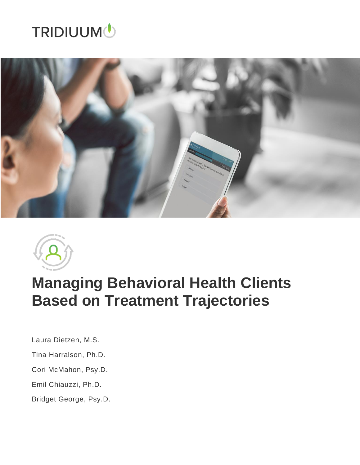# **TRIDIUUM**





# **Managing Behavioral Health Clients Based on Treatment Trajectories**

Laura Dietzen, M.S.

- Tina Harralson, Ph.D.
- Cori McMahon, Psy.D.
- Emil Chiauzzi, Ph.D.
- Bridget George, Psy.D.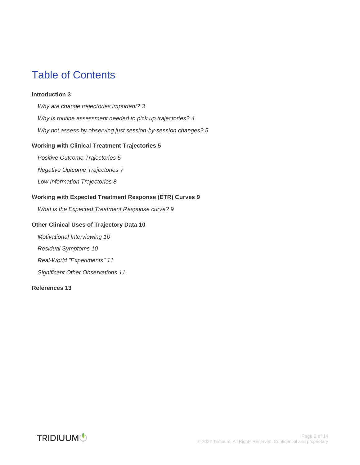## Table of Contents

#### **[Introduction](#page-2-0) 3**

*[Why are change trajectories important?](#page-2-1) 3 [Why is routine assessment needed to pick up trajectories?](#page-3-0) 4 [Why not assess by observing just session-by-session changes?](#page-4-0) 5*

#### **[Working with Clinical Treatment Trajectories](#page-4-1) 5**

*[Positive Outcome Trajectories](#page-4-2) 5*

*[Negative Outcome Trajectories](#page-6-0) 7*

*[Low Information Trajectories](#page-7-0) 8*

#### **[Working with Expected Treatment Response \(ETR\) Curves](#page-8-0) 9**

*[What is the Expected Treatment Response curve?](#page-8-1) 9*

#### **[Other Clinical Uses of Trajectory Data](#page-9-0) 10**

*[Motivational Interviewing](#page-9-1) 10 [Residual Symptoms](#page-9-2) 10*

*[Real-World "Experiments"](#page-10-0) 11*

*[Significant Other Observations](#page-10-1) 11*

#### **[References](#page-12-0) 13**

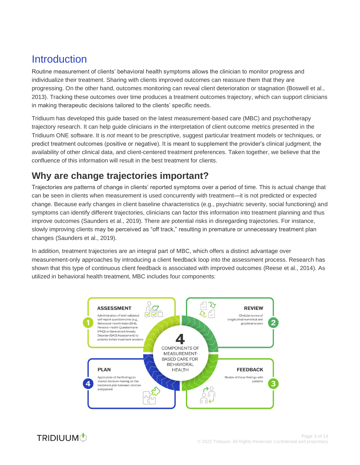## <span id="page-2-0"></span>Introduction

Routine measurement of clients' behavioral health symptoms allows the clinician to monitor progress and individualize their treatment. Sharing with clients improved outcomes can reassure them that they are progressing. On the other hand, outcomes monitoring can reveal client deterioration or stagnation (Boswell et al., 2013). Tracking these outcomes over time produces a treatment outcomes trajectory, which can support clinicians in making therapeutic decisions tailored to the clients' specific needs.

Tridiuum has developed this guide based on the latest measurement-based care (MBC) and psychotherapy trajectory research. It can help guide clinicians in the interpretation of client outcome metrics presented in the Tridiuum ONE software. It is *not* meant to be prescriptive, suggest particular treatment models or techniques, or predict treatment outcomes (positive or negative). It is meant to supplement the provider's clinical judgment, the availability of other clinical data, and client-centered treatment preferences. Taken together, we believe that the confluence of this information will result in the best treatment for clients.

## <span id="page-2-1"></span>**Why are change trajectories important?**

Trajectories are patterns of change in clients' reported symptoms over a period of time. This is actual change that can be seen in clients when measurement is used concurrently with treatment—it is not predicted or expected change. Because early changes in client baseline characteristics (e.g., psychiatric severity, social functioning) and symptoms can identify different trajectories, clinicians can factor this information into treatment planning and thus improve outcomes (Saunders et al., 2019). There are potential risks in disregarding trajectories. For instance, slowly improving clients may be perceived as "off track," resulting in premature or unnecessary treatment plan changes (Saunders et al., 2019).

In addition, treatment trajectories are an integral part of MBC, which offers a distinct advantage over measurement-only approaches by introducing a client feedback loop into the assessment process. Research has shown that this type of continuous client feedback is associated with improved outcomes (Reese et al., 2014). As utilized in behavioral health treatment, MBC includes four components:



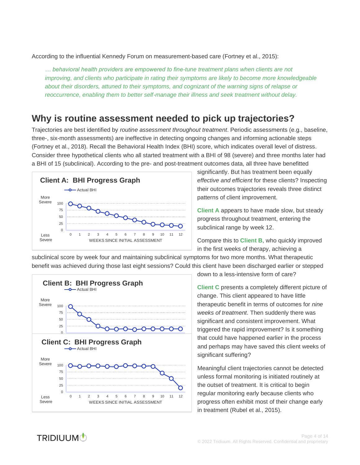According to the influential Kennedy Forum on measurement-based care (Fortney et al., 2015):

*… behavioral health providers are empowered to fine-tune treatment plans when clients are not improving, and clients who participate in rating their symptoms are likely to become more knowledgeable about their disorders, attuned to their symptoms, and cognizant of the warning signs of relapse or reoccurrence, enabling them to better self-manage their illness and seek treatment without delay.*

## <span id="page-3-0"></span>**Why is routine assessment needed to pick up trajectories?**

Trajectories are best identified by *routine assessment throughout treatment*. Periodic assessments (e.g., baseline, three-, six-month assessments) are ineffective in detecting ongoing changes and informing actionable steps (Fortney et al., 2018). Recall the Behavioral Health Index (BHI) score, which indicates overall level of distress. Consider three hypothetical clients who all started treatment with a BHI of 98 (severe) and three months later had a BHI of 15 (subclinical). According to the pre- and post-treatment outcomes data, all three have benefitted



significantly. But has treatment been equally *effective and efficient* for these clients? Inspecting their outcomes trajectories reveals three distinct patterns of client improvement.

**Client A** appears to have made slow, but steady progress throughout treatment, entering the subclinical range by week 12.

Compare this to **Client B**, who quickly improved in the first weeks of therapy, achieving a

subclinical score by week four and maintaining subclinical symptoms for two more months. What therapeutic benefit was achieved during those last eight sessions? Could this client have been discharged earlier or stepped



down to a less-intensive form of care?

**Client C** presents a completely different picture of change. This client appeared to have little therapeutic benefit in terms of outcomes for *nine weeks of treatment*. Then suddenly there was significant and consistent improvement. What triggered the rapid improvement? Is it something that could have happened earlier in the process and perhaps may have saved this client weeks of significant suffering?

Meaningful client trajectories cannot be detected unless formal monitoring is initiated routinely at the outset of treatment. It is critical to begin regular monitoring early because clients who progress often exhibit most of their change early in treatment (Rubel et al., 2015).

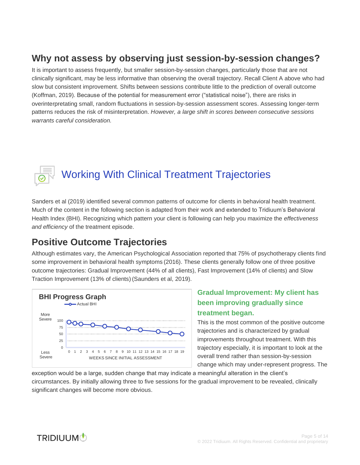## <span id="page-4-0"></span>**Why not assess by observing just session-by-session changes?**

It is important to assess frequently, but smaller session-by-session changes, particularly those that are not clinically significant, may be less informative than observing the overall trajectory. Recall Client A above who had slow but consistent improvement. Shifts between sessions contribute little to the prediction of overall outcome (Koffman, 2019). Because of the potential for measurement error ("statistical noise"), there are risks in overinterpretating small, random fluctuations in session-by-session assessment scores. Assessing longer-term patterns reduces the risk of misinterpretation. *However, a large shift in scores between consecutive sessions warrants careful consideration.*



## <span id="page-4-1"></span>Working With Clinical Treatment Trajectories

Sanders et al (2019) identified several common patterns of outcome for clients in behavioral health treatment. Much of the content in the following section is adapted from their work and extended to Tridiuum's Behavioral Health Index (BHI). Recognizing which pattern your client is following can help you maximize the *effectiveness and efficiency* of the treatment episode.

#### <span id="page-4-2"></span>**Positive Outcome Trajectories**

Although estimates vary, the American Psychological Association reported that 75% of psychotherapy clients find some improvement in behavioral health symptoms (2016). These clients generally follow one of three positive outcome trajectories: Gradual Improvement (44% of all clients), Fast Improvement (14% of clients) and Slow Traction Improvement (13% of clients) (Saunders et al, 2019).



#### **Gradual Improvement: My client has been improving gradually since treatment began.**

This is the most common of the positive outcome trajectories and is characterized by gradual improvements throughout treatment. With this trajectory especially, it is important to look at the overall trend rather than session-by-session change which may under-represent progress. The

exception would be a large, sudden change that may indicate a meaningful alteration in the client's circumstances. By initially allowing three to five sessions for the gradual improvement to be revealed, clinically significant changes will become more obvious.

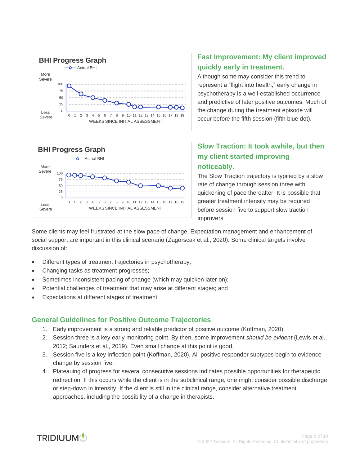



#### **Fast Improvement: My client improved quickly early in treatment.**

Although some may consider this trend to represent a "flight into health," early change in psychotherapy is a well-established occurrence and predictive of later positive outcomes. Much of the change during the treatment episode will occur before the fifth session (fifth blue dot).

#### **Slow Traction: It took awhile, but then my client started improving noticeably.**

The Slow Traction trajectory is typified by a slow rate of change through session three with quickening of pace thereafter. It is possible that greater treatment intensity may be required before session five to support slow traction improvers.

Some clients may feel frustrated at the slow pace of change. Expectation management and enhancement of social support are important in this clinical scenario (Zagorscak et al., 2020). Some clinical targets involve discussion of:

- Different types of treatment trajectories in psychotherapy;
- Changing tasks as treatment progresses;
- Sometimes inconsistent pacing of change (which may quicken later on);
- Potential challenges of treatment that may arise at different stages; and
- Expectations at different stages of treatment.

#### **General Guidelines for Positive Outcome Trajectories**

- 1. Early improvement is a strong and reliable predictor of positive outcome (Koffman, 2020).
- 2. Session three is a key early monitoring point. By then, some improvement *should be evident* (Lewis et al., 2012; Saunders et al., 2019). Even small change at this point is good.
- 3. Session five is a key inflection point (Koffman, 2020). All positive responder subtypes begin to evidence change by session five.
- 4. Plateauing of progress for several consecutive sessions indicates possible opportunities for therapeutic redirection. If this occurs while the client is in the subclinical range, one might consider possible discharge or step-down in intensity. If the client is still in the clinical range, consider alternative treatment approaches, including the possibility of a change in therapists.

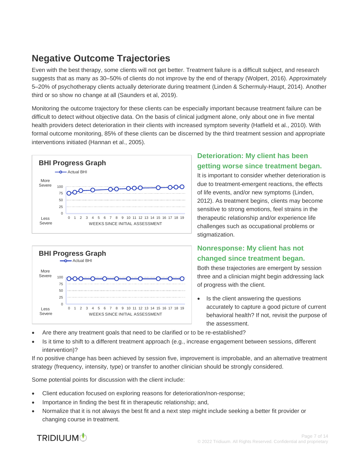## <span id="page-6-0"></span>**Negative Outcome Trajectories**

Even with the best therapy, some clients will not get better. Treatment failure is a difficult subject, and research suggests that as many as 30–50% of clients do not improve by the end of therapy (Wolpert, 2016). Approximately 5–20% of psychotherapy clients actually deteriorate during treatment (Linden & Schermuly-Haupt, 2014). Another third or so show no change at all (Saunders et al, 2019).

Monitoring the outcome trajectory for these clients can be especially important because treatment failure can be difficult to detect without objective data. On the basis of clinical judgment alone, only about one in five mental health providers detect deterioration in their clients with increased symptom severity (Hatfield et al., 2010). With formal outcome monitoring, 85% of these clients can be discerned by the third treatment session and appropriate interventions initiated (Hannan et al., 2005).





#### **Deterioration: My client has been getting worse since treatment began.**

It is important to consider whether deterioration is due to treatment-emergent reactions, the effects of life events, and/or new symptoms (Linden, 2012). As treatment begins, clients may become sensitive to strong emotions, feel strains in the therapeutic relationship and/or experience life challenges such as occupational problems or stigmatization.

#### **Nonresponse: My client has not changed since treatment began.**

Both these trajectories are emergent by session three and a clinician might begin addressing lack of progress with the client.

- Is the client answering the questions accurately to capture a good picture of current behavioral health? If not, revisit the purpose of the assessment.
- Are there any treatment goals that need to be clarified or to be re-established?
- Is it time to shift to a different treatment approach (e.g., increase engagement between sessions, different intervention)?

If no positive change has been achieved by session five, improvement is improbable, and an alternative treatment strategy (frequency, intensity, type) or transfer to another clinician should be strongly considered.

Some potential points for discussion with the client include:

- Client education focused on exploring reasons for deterioration/non-response;
- Importance in finding the best fit in therapeutic relationship; and,
- Normalize that it is not always the best fit and a next step might include seeking a better fit provider or changing course in treatment.

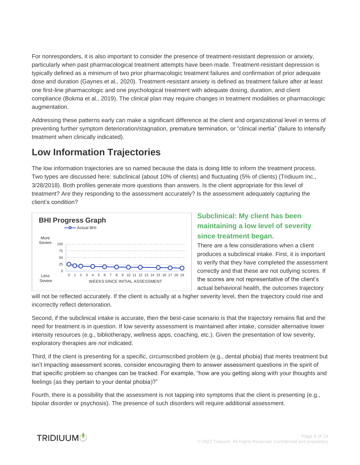For nonresponders, it is also important to consider the presence of treatment-resistant depression or anxiety, particularly when past pharmacological treatment attempts have been made. Treatment-resistant depression is typically defined as a minimum of two prior pharmacologic treatment failures and confirmation of prior adequate dose and duration (Gaynes et al., 2020). Treatment-resistant anxiety is defined as treatment failure after at least one first-line pharmacologic and one psychological treatment with adequate dosing, duration, and client compliance (Bokma et al., 2019). The clinical plan may require changes in treatment modalities or pharmacologic augmentation.

Addressing these patterns early can make a significant difference at the client and organizational level in terms of preventing further symptom deterioration/stagnation, premature termination, or "clinical inertia" (failure to intensify treatment when clinically indicated).

## <span id="page-7-0"></span>**Low Information Trajectories**

The low information trajectories are so named because the data is doing little to inform the treatment process. Two types are discussed here: subclinical (about 10% of clients) and fluctuating (5% of clients) (Tridiuum Inc., 3/28/2018). Both profiles generate more questions than answers. Is the client appropriate for this level of treatment? Are they responding to the assessment accurately? Is the assessment adequately capturing the client's condition?



#### **Subclinical: My client has been maintaining a low level of severity since treatment began.**

There are a few considerations when a client produces a subclinical intake. First, it is important to verify that they have completed the assessment correctly and that these are not outlying scores. If the scores are not representative of the client's actual behavioral health, the outcomes trajectory

will not be reflected accurately. If the client is actually at a higher severity level, then the trajectory could rise and incorrectly reflect deterioration.

Second, if the subclinical intake is accurate, then the best-case scenario is that the trajectory remains flat and the need for treatment is in question. If low severity assessment is maintained after intake, consider alternative lower intensity resources (e.g., bibliotherapy, wellness apps, coaching, etc.). Given the presentation of low severity, exploratory therapies are *not* indicated.

Third, if the client is presenting for a specific, circumscribed problem (e.g., dental phobia) that merits treatment but isn't impacting assessment scores, consider encouraging them to answer assessment questions in the spirit of that specific problem so changes can be tracked. For example, "how are you getting along with your thoughts and feelings (as they pertain to your dental phobia)?"

Fourth, there is a possibility that the assessment is not tapping into symptoms that the client is presenting (e.g., bipolar disorder or psychosis). The presence of such disorders will require additional assessment.

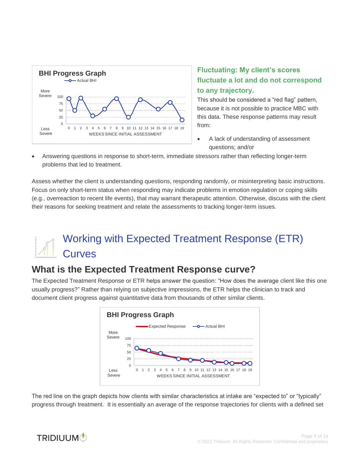

#### **Fluctuating: My client's scores fluctuate a lot and do not correspond to any trajectory.**

This should be considered a "red flag" pattern, because it is not possible to practice MBC with this data. These response patterns may result from:

- A lack of understanding of assessment questions; and/or
- Answering questions in response to short-term, immediate stressors rather than reflecting longer-term problems that led to treatment.

Assess whether the client is understanding questions, responding randomly, or misinterpreting basic instructions. Focus on only short-term status when responding may indicate problems in emotion regulation or coping skills (e.g., overreaction to recent life events), that may warrant therapeutic attention. Otherwise, discuss with the client their reasons for seeking treatment and relate the assessments to tracking longer-term issues.

## <span id="page-8-0"></span>Working with Expected Treatment Response (ETR) **Curves**

## <span id="page-8-1"></span>**What is the Expected Treatment Response curve?**

The Expected Treatment Response or ETR helps answer the question: "How does the average client like this one usually progress?" Rather than relying on subjective impressions, the ETR helps the clinician to track and document client progress against quantitative data from thousands of other similar clients.



The red line on the graph depicts how clients with similar characteristics at intake are "expected to" or "typically" progress through treatment. It is essentially an average of the response trajectories for clients with a defined set

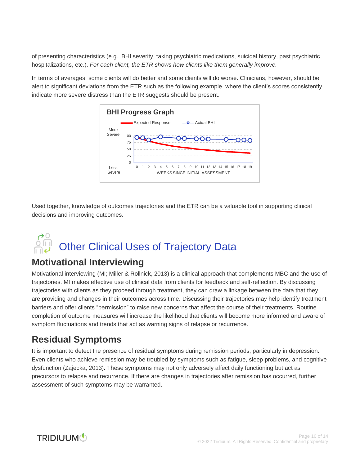of presenting characteristics (e.g., BHI severity, taking psychiatric medications, suicidal history, past psychiatric hospitalizations, etc.). *For each client, the ETR shows how clients like them generally improve.* 

In terms of averages, some clients will do better and some clients will do worse. Clinicians, however, should be alert to significant deviations from the ETR such as the following example, where the client's scores consistently indicate more severe distress than the ETR suggests should be present.



Used together, knowledge of outcomes trajectories and the ETR can be a valuable tool in supporting clinical decisions and improving outcomes.

# <span id="page-9-0"></span>Official Uses of Trajectory Data

## <span id="page-9-1"></span>**Motivational Interviewing**

Motivational interviewing (MI; Miller & Rollnick, 2013) is a clinical approach that complements MBC and the use of trajectories. MI makes effective use of clinical data from clients for feedback and self-reflection. By discussing trajectories with clients as they proceed through treatment, they can draw a linkage between the data that they are providing and changes in their outcomes across time. Discussing their trajectories may help identify treatment barriers and offer clients "permission" to raise new concerns that affect the course of their treatments. Routine completion of outcome measures will increase the likelihood that clients will become more informed and aware of symptom fluctuations and trends that act as warning signs of relapse or recurrence.

## <span id="page-9-2"></span>**Residual Symptoms**

It is important to detect the presence of residual symptoms during remission periods, particularly in depression. Even clients who achieve remission may be troubled by symptoms such as fatigue, sleep problems, and cognitive dysfunction (Zajecka, 2013). These symptoms may not only adversely affect daily functioning but act as precursors to relapse and recurrence. If there are changes in trajectories after remission has occurred, further assessment of such symptoms may be warranted.

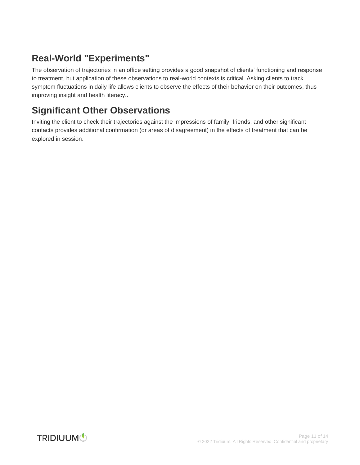## <span id="page-10-0"></span>**Real-World "Experiments"**

The observation of trajectories in an office setting provides a good snapshot of clients' functioning and response to treatment, but application of these observations to real-world contexts is critical. Asking clients to track symptom fluctuations in daily life allows clients to observe the effects of their behavior on their outcomes, thus improving insight and health literacy..

## <span id="page-10-1"></span>**Significant Other Observations**

Inviting the client to check their trajectories against the impressions of family, friends, and other significant contacts provides additional confirmation (or areas of disagreement) in the effects of treatment that can be explored in session.

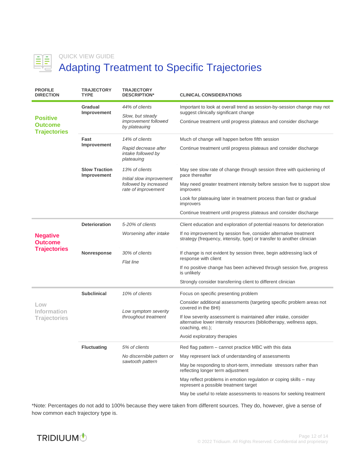

#### QUICK VIEW GUIDE

## Adapting Treatment to Specific Trajectories

| <b>PROFILE</b><br><b>DIRECTION</b>                       | <b>TRAJECTORY</b><br><b>TYPE</b>    | <b>TRAJECTORY</b><br><b>DESCRIPTION*</b>                                 | <b>CLINICAL CONSIDERATIONS</b>                                                                                                                              |
|----------------------------------------------------------|-------------------------------------|--------------------------------------------------------------------------|-------------------------------------------------------------------------------------------------------------------------------------------------------------|
| <b>Positive</b><br><b>Outcome</b><br><b>Trajectories</b> | Gradual<br>Improvement              | 44% of clients<br>Slow, but steady                                       | Important to look at overall trend as session-by-session change may not<br>suggest clinically significant change                                            |
|                                                          |                                     | <i>improvement followed</i><br>by plateauing                             | Continue treatment until progress plateaus and consider discharge                                                                                           |
|                                                          | Fast<br>Improvement                 | 14% of clients                                                           | Much of change will happen before fifth session                                                                                                             |
|                                                          |                                     | Rapid decrease after<br>intake followed by<br>plateauing                 | Continue treatment until progress plateaus and consider discharge                                                                                           |
|                                                          | <b>Slow Traction</b><br>Improvement | 13% of clients                                                           | May see slow rate of change through session three with quickening of                                                                                        |
|                                                          |                                     | Initial slow improvement<br>followed by increased<br>rate of improvement | pace thereafter                                                                                                                                             |
|                                                          |                                     |                                                                          | May need greater treatment intensity before session five to support slow<br>improvers                                                                       |
|                                                          |                                     |                                                                          | Look for plateauing later in treatment process than fast or gradual<br>improvers                                                                            |
|                                                          |                                     |                                                                          | Continue treatment until progress plateaus and consider discharge                                                                                           |
| <b>Negative</b><br><b>Outcome</b><br><b>Trajectories</b> | <b>Deterioration</b>                | 5-20% of clients                                                         | Client education and exploration of potential reasons for deterioration                                                                                     |
|                                                          |                                     | Worsening after intake                                                   | If no improvement by session five, consider alternative treatment<br>strategy (frequency, intensity, type) or transfer to another clinician                 |
|                                                          | Nonresponse                         | 30% of clients                                                           | If change is not evident by session three, begin addressing lack of                                                                                         |
|                                                          |                                     | Flat line                                                                | response with client                                                                                                                                        |
|                                                          |                                     |                                                                          | If no positive change has been achieved through session five, progress<br>is unlikely                                                                       |
|                                                          |                                     |                                                                          | Strongly consider transferring client to different clinician                                                                                                |
| LOW<br>Information<br>Trajectories                       | <b>Subclinical</b>                  | 10% of clients                                                           | Focus on specific presenting problem                                                                                                                        |
|                                                          |                                     | Low symptom severity<br>throughout treatment                             | Consider additional assessments (targeting specific problem areas not<br>covered in the BHI)                                                                |
|                                                          |                                     |                                                                          | If low severity assessment is maintained after intake, consider<br>alternative lower intensity resources (bibliotherapy, wellness apps,<br>coaching, etc.); |
|                                                          |                                     |                                                                          | Avoid exploratory therapies                                                                                                                                 |
|                                                          | <b>Fluctuating</b>                  | 5% of clients                                                            | Red flag pattern – cannot practice MBC with this data                                                                                                       |
|                                                          |                                     | No discernible pattern or<br>sawtooth pattern                            | May represent lack of understanding of assessments                                                                                                          |
|                                                          |                                     |                                                                          | May be responding to short-term, immediate stressors rather than<br>reflecting longer term adjustment                                                       |
|                                                          |                                     |                                                                          | May reflect problems in emotion regulation or coping skills - may<br>represent a possible treatment target                                                  |
|                                                          |                                     |                                                                          | May be useful to relate assessments to reasons for seeking treatment                                                                                        |

\*Note: Percentages do not add to 100% because they were taken from different sources. They do, however, give a sense of how common each trajectory type is.

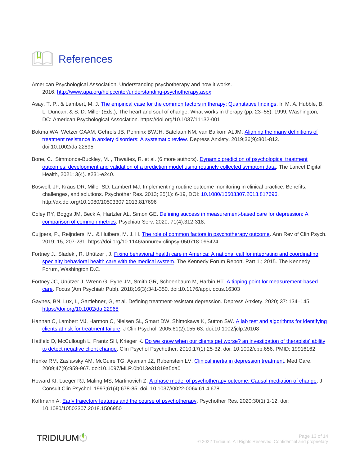<span id="page-12-0"></span>

American Psychological Association. Understanding psychotherapy and how it works. 2016. <http://www.apa.org/helpcenter/understanding-psychotherapy.aspx>

- Asay, T. P., & Lambert, M. J[. The empirical case for the common factors in therapy: Quantitative findings.](https://commons.marymount.edu/jcooper/wp-content/uploads/sites/415/2016/06/Asay-and-Lambert-1999-The-empirical-case-for-the-common-factors-copy.pdf) In M. A. Hubble, B. L. Duncan, & S. D. Miller (Eds.), The heart and soul of change: What works in therapy (pp. 23–55). 1999; Washington, DC: American Psychological Association. https://doi.org/10.1037/11132-001
- Bokma WA, Wetzer GAAM, Gehrels JB, Penninx BWJH, Batelaan NM, van Balkom ALJM. [Aligning the many definitions of](https://www.ncbi.nlm.nih.gov/pmc/articles/PMC6771798/)  [treatment resistance in anxiety disorders: A systematic review.](https://www.ncbi.nlm.nih.gov/pmc/articles/PMC6771798/) Depress Anxiety. 2019;36(9):801-812. doi:10.1002/da.22895
- Bone, C., Simmonds-Buckley, M. , Thwaites, R. et al. (6 more authors)[. Dynamic prediction of psychological treatment](https://eprints.whiterose.ac.uk/172884/1/Oracle_paper_LancetDH_2021.pdf)  [outcomes: development and validation of a prediction model using routinely collected symptom data.](https://eprints.whiterose.ac.uk/172884/1/Oracle_paper_LancetDH_2021.pdf) The Lancet Digital Health, 2021; 3(4). e231-e240.
- Boswell, JF, Kraus DR, Miller SD, Lambert MJ. Implementing routine outcome monitoring in clinical practice: Benefits, challenges, and solutions. Psychother Res. 2013; 25(1): 6-19, DOI: [10.1080/10503307.2013.817696.](https://doi.org/10.1080/10503307.2013.817696) http://dx.doi.org/10.1080/10503307.2013.817696
- Coley RY, Boggs JM, Beck A, Hartzler AL, Simon GE[. Defining success in measurement-based care for depression: A](https://ps.psychiatryonline.org/doi/full/10.1176/appi.ps.201900295)  [comparison of common metrics.](https://ps.psychiatryonline.org/doi/full/10.1176/appi.ps.201900295) Psychiatr Serv. 2020; 71(4):312-318.
- Cuijpers, P., Reijnders, M., & Huibers, M. J. H[. The role of common factors in psychotherapy outcome.](https://research.vu.nl/ws/files/105340005/annurev_clinpsy_050718_095424_The_Role_of_Common_Factors_in_Psychotherapy_Outcomes.pdf) Ann Rev of Clin Psych. 2019; 15, 207-231. https://doi.org/10.1146/annurev-clinpsy-050718-095424
- Fortney J., Sladek , R. Unützer , J. [Fixing behavioral health care in America: A national call for integrating and coordinating](https://thekennedyforum.org/app/uploads/2017/06/KennedyForum-MeasurementBasedCare_2.pdf)  [specialty behavioral health care with the medical system.](https://thekennedyforum.org/app/uploads/2017/06/KennedyForum-MeasurementBasedCare_2.pdf) The Kennedy Forum Report. Part 1.; 2015. The Kennedy Forum, Washington D.C.
- Fortney JC, Unützer J, Wrenn G, Pyne JM, Smith GR, Schoenbaum M, Harbin HT[. A tipping point for measurement-based](https://www.ncbi.nlm.nih.gov/pmc/articles/PMC6996080/)  [care.](https://www.ncbi.nlm.nih.gov/pmc/articles/PMC6996080/) Focus (Am Psychiatr Publ). 2018;16(3):341-350. doi:10.1176/appi.focus.16303
- Gaynes, BN, Lux, L, Gartlehner, G, et al. Defining treatment-resistant depression. Depress Anxiety. 2020; 37: 134–145. <https://doi.org/10.1002/da.22968>
- Hannan C, Lambert MJ, Harmon C, Nielsen SL, Smart DW, Shimokawa K, Sutton SW. A lab test and algorithms for identifying [clients at risk for treatment failure.](https://pubmed.ncbi.nlm.nih.gov/15609357/) J Clin Psychol. 2005;61(2):155-63. doi:10.1002/jclp.20108
- Hatfield D, McCullough L, Frantz SH, Krieger K[. Do we know when our clients get worse? an investigation of therapists' ability](https://pubmed.ncbi.nlm.nih.gov/19916162/)  [to detect negative client change.](https://pubmed.ncbi.nlm.nih.gov/19916162/) Clin Psychol Psychother. 2010;17(1):25-32. doi: 10.1002/cpp.656. PMID: 19916162
- Henke RM, Zaslavsky AM, McGuire TG, Ayanian JZ, Rubenstein LV[. Clinical inertia in depression treatment.](https://www.ncbi.nlm.nih.gov/pmc/articles/PMC4003881/) Med Care. 2009;47(9):959-967. doi:10.1097/MLR.0b013e31819a5da0
- Howard KI, Lueger RJ, Maling MS, Martinovich Z. [A phase model of psychotherapy outcome: Causal mediation of change.](https://pubmed.ncbi.nlm.nih.gov/8370864/) J Consult Clin Psychol. 1993;61(4):678-85. doi: 10.1037//0022-006x.61.4.678.
- Koffmann A. [Early trajectory features and the course of psychotherapy.](https://www.tandfonline.com/doi/full/10.1080/10503307.2018.1506950) Psychother Res. 2020;30(1):1-12. doi: 10.1080/10503307.2018.1506950